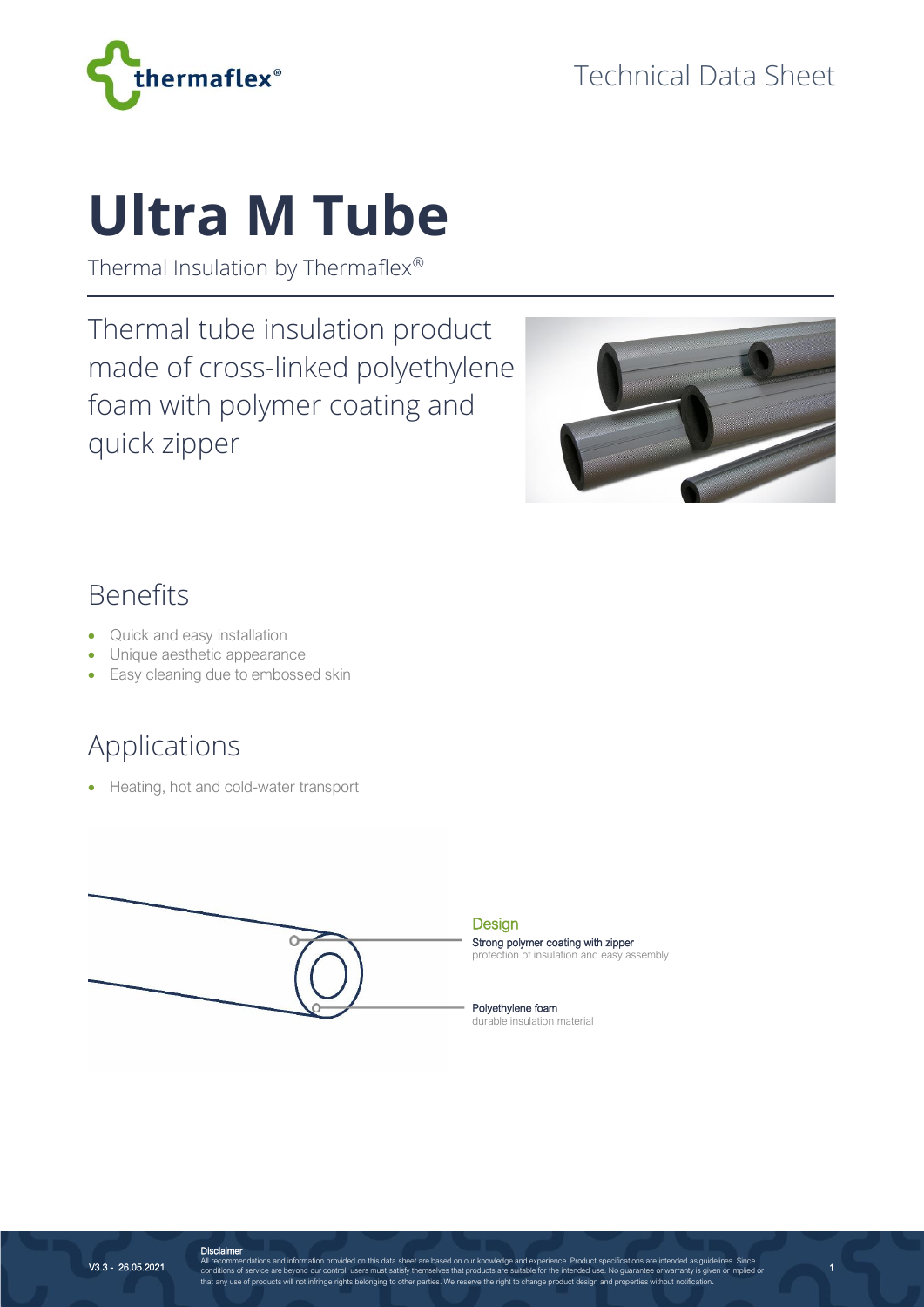

# **Ultra M Tube**

Thermal Insulation by Thermaflex®

Thermal tube insulation product made of cross-linked polyethylene foam with polymer coating and quick zipper



1

#### Benefits

- Quick and easy installation
- Unique aesthetic appearance
- Easy cleaning due to embossed skin

### Applications

• Heating, hot and cold-water transport



**Design** 

Strong polymer coating with zipper protection of insulation and easy assembly

Polyethylene foam durable insulation material

V3.3 - 26.05.2021

**Disclaimer**<br>All recommendations and information provided on this data sheet are based on our knowledge and experience. Product specifications are intended as guidelines. Since<br>conditions of service are beyond our control,